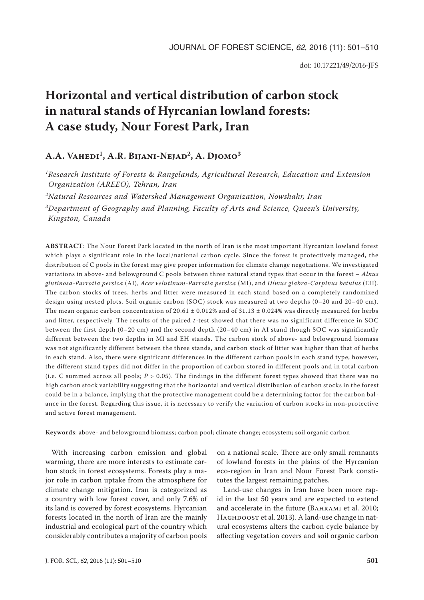# **Horizontal and vertical distribution of carbon stock in natural stands of Hyrcanian lowland forests: A case study, Nour Forest Park, Iran**

# A.A. VAHEDI<sup>1</sup>, A.R. BIJANI-NEJAD<sup>2</sup>, A. DJOMO<sup>3</sup>

*1Research Institute of Forests* & *Rangelands, Agricultural Research, Education and Extension Organization (AREEO), Tehran, Iran*

*2Natural Resources and Watershed Management Organization, Nowshahr, Iran*

*3Department of Geography and Planning, Faculty of Arts and Science, Queen's University, Kingston, Canada*

**ABSTRACT**: The Nour Forest Park located in the north of Iran is the most important Hyrcanian lowland forest which plays a significant role in the local/national carbon cycle. Since the forest is protectively managed, the distribution of C pools in the forest may give proper information for climate change negotiations. We investigated variations in above- and belowground C pools between three natural stand types that occur in the forest – *Alnus glutinosa*-*Parrotia persica* (AI), *Acer velutinum*-*Parrotia persica* (MI), and *Ulmus glabra*-*Carpinus betulus* (EH). The carbon stocks of trees, herbs and litter were measured in each stand based on a completely randomized design using nested plots. Soil organic carbon (SOC) stock was measured at two depths (0–20 and 20–40 cm). The mean organic carbon concentration of  $20.61 \pm 0.012\%$  and of  $31.13 \pm 0.024\%$  was directly measured for herbs and litter, respectively. The results of the paired *t*-test showed that there was no significant difference in SOC between the first depth (0–20 cm) and the second depth (20–40 cm) in AI stand though SOC was significantly different between the two depths in MI and EH stands. The carbon stock of above- and belowground biomass was not significantly different between the three stands, and carbon stock of litter was higher than that of herbs in each stand. Also, there were significant differences in the different carbon pools in each stand type; however, the different stand types did not differ in the proportion of carbon stored in different pools and in total carbon (i.e. C summed across all pools; *P* > 0.05). The findings in the different forest types showed that there was no high carbon stock variability suggesting that the horizontal and vertical distribution of carbon stocks in the forest could be in a balance, implying that the protective management could be a determining factor for the carbon balance in the forest. Regarding this issue, it is necessary to verify the variation of carbon stocks in non-protective and active forest management.

**Keywords**: above- and belowground biomass; carbon pool; climate change; ecosystem; soil organic carbon

With increasing carbon emission and global warming, there are more interests to estimate carbon stock in forest ecosystems. Forests play a major role in carbon uptake from the atmosphere for climate change mitigation. Iran is categorized as a country with low forest cover, and only 7.6% of its land is covered by forest ecosystems. Hyrcanian forests located in the north of Iran are the mainly industrial and ecological part of the country which considerably contributes a majority of carbon pools

on a national scale. There are only small remnants of lowland forests in the plains of the Hyrcanian eco-region in Iran and Nour Forest Park constitutes the largest remaining patches.

Land-use changes in Iran have been more rapid in the last 50 years and are expected to extend and accelerate in the future (BAHRAMI et al. 2010; HAGHDOOST et al. 2013). A land-use change in natural ecosystems alters the carbon cycle balance by affecting vegetation covers and soil organic carbon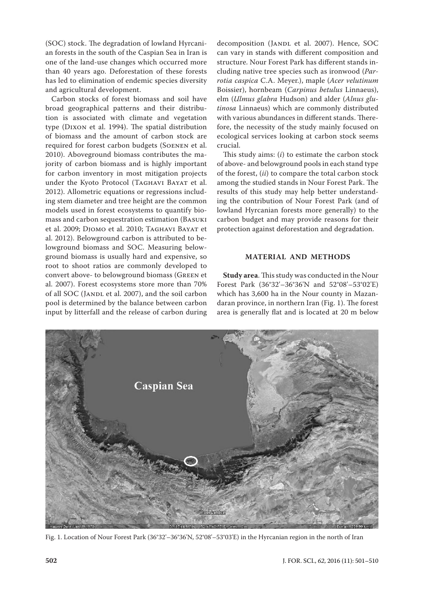(SOC) stock. The degradation of lowland Hyrcanian forests in the south of the Caspian Sea in Iran is one of the land-use changes which occurred more than 40 years ago. Deforestation of these forests has led to elimination of endemic species diversity and agricultural development.

Carbon stocks of forest biomass and soil have broad geographical patterns and their distribution is associated with climate and vegetation type (Dixon et al. 1994). The spatial distribution of biomass and the amount of carbon stock are required for forest carbon budgets (Soenen et al. 2010). Aboveground biomass contributes the majority of carbon biomass and is highly important for carbon inventory in most mitigation projects under the Kyoto Protocol (Taghavi Bayat et al. 2012). Allometric equations or regressions including stem diameter and tree height are the common models used in forest ecosystems to quantify biomass and carbon sequestration estimation (Basuki et al. 2009; Djomo et al. 2010; Taghavi Bayat et al. 2012). Belowground carbon is attributed to belowground biomass and SOC. Measuring belowground biomass is usually hard and expensive, so root to shoot ratios are commonly developed to convert above- to belowground biomass (Green et al. 2007). Forest ecosystems store more than 70% of all SOC (JANDL et al. 2007), and the soil carbon pool is determined by the balance between carbon input by litterfall and the release of carbon during decomposition (JANDL et al. 2007). Hence, SOC can vary in stands with different composition and structure. Nour Forest Park has different stands including native tree species such as ironwood (*Parrotia caspica* C.A. Meyer.), maple (*Acer velutinum* Boissier), hornbeam (*Carpinus betulus* Linnaeus), elm (*Ulmus glabra* Hudson) and alder (*Alnus glutinosa* Linnaeus) which are commonly distributed with various abundances in different stands. Therefore, the necessity of the study mainly focused on ecological services looking at carbon stock seems crucial.

This study aims: (*i*) to estimate the carbon stock of above- and belowground pools in each stand type of the forest, (*ii*) to compare the total carbon stock among the studied stands in Nour Forest Park. The results of this study may help better understanding the contribution of Nour Forest Park (and of lowland Hyrcanian forests more generally) to the carbon budget and may provide reasons for their protection against deforestation and degradation.

# **MATERIAL AND METHODS**

**Study area**. This study was conducted in the Nour Forest Park (36°32'–36°36'N and 52°08'–53°02'E) which has 3,600 ha in the Nour county in Mazandaran province, in northern Iran (Fig. 1). The forest area is generally flat and is located at 20 m below



Fig. 1. Location of Nour Forest Park (36°32'–36°36'N, 52°08'–53°03'E) in the Hyrcanian region in the north of Iran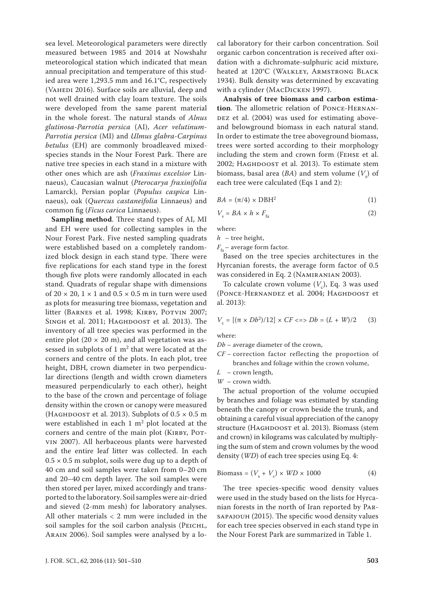sea level. Meteorological parameters were directly measured between 1985 and 2014 at Nowshahr meteorological station which indicated that mean annual precipitation and temperature of this studied area were 1,293.5 mm and 16.1°C, respectively (VAHEDI 2016). Surface soils are alluvial, deep and not well drained with clay loam texture. The soils were developed from the same parent material in the whole forest. The natural stands of *Alnus glutinosa*-*Parrotia persica* (AI), *Acer velutinum*-*Parrotia persica* (MI) and *Ulmus glabra*-*Carpinus betulus* (EH) are commonly broadleaved mixedspecies stands in the Nour Forest Park. There are native tree species in each stand in a mixture with other ones which are ash (*Fraxinus excelsior* Linnaeus), Caucasian walnut (*Pterocarya fraxinifolia* Lamarck), Persian poplar (*Populus caspica* Linnaeus), oak (*Quercus castaneifolia* Linnaeus) and common fig (*Ficus carica* Linnaeus).

**Sampling method**. Three stand types of AI, MI and EH were used for collecting samples in the Nour Forest Park. Five nested sampling quadrats were established based on a completely randomized block design in each stand type. There were five replications for each stand type in the forest though five plots were randomly allocated in each stand. Quadrats of regular shape with dimensions of  $20 \times 20$ ,  $1 \times 1$  and  $0.5 \times 0.5$  m in turn were used as plots for measuring tree biomass, vegetation and litter (BARNES et al. 1998; KIRBY, POTVIN 2007; SINGH et al. 2011; HAGHDOOST et al. 2013). The inventory of all tree species was performed in the entire plot ( $20 \times 20$  m), and all vegetation was assessed in subplots of  $1 \text{ m}^2$  that were located at the corners and centre of the plots. In each plot, tree height, DBH, crown diameter in two perpendicular directions (length and width crown diameters measured perpendicularly to each other), height to the base of the crown and percentage of foliage density within the crown or canopy were measured (HAGHDOOST et al. 2013). Subplots of  $0.5 \times 0.5$  m were established in each  $1 \text{ m}^2$  plot located at the corners and centre of the main plot (KIRBY, POTvin 2007). All herbaceous plants were harvested and the entire leaf litter was collected. In each  $0.5 \times 0.5$  m subplot, soils were dug up to a depth of 40 cm and soil samples were taken from 0–20 cm and 20–40 cm depth layer. The soil samples were then stored per layer, mixed accordingly and transported to the laboratory. Soil samples were air-dried and sieved (2-mm mesh) for laboratory analyses. All other materials < 2 mm were included in the soil samples for the soil carbon analysis (PEICHL, Arain 2006). Soil samples were analysed by a local laboratory for their carbon concentration. Soil organic carbon concentration is received after oxidation with a dichromate-sulphuric acid mixture, heated at 120°C (Walkley, Armstrong Black 1934). Bulk density was determined by excavating with a cylinder (MACDICKEN 1997).

**Analysis of tree biomass and carbon estimation**. The allometric relation of Ponce-Hernan-DEZ et al. (2004) was used for estimating aboveand belowground biomass in each natural stand. In order to estimate the tree aboveground biomass, trees were sorted according to their morphology including the stem and crown form (Fehse et al. 2002; HAGHDOOST et al. 2013). To estimate stem biomass, basal area  $(BA)$  and stem volume  $(V<sub>s</sub>)$  of each tree were calculated (Eqs 1 and 2):

$$
BA = (\pi/4) \times DBH^2 \tag{1}
$$

$$
V_s = BA \times h \times F_{\text{fa}} \tag{2}
$$

where:

*h* – tree height,

 $F<sub>f</sub>$  – average form factor.

Based on the tree species architectures in the Hyrcanian forests, the average form factor of 0.5 was considered in Eq. 2 (Namiranian 2003).

To calculate crown volume  $(V_c)$ , Eq. 3 was used (PONCE-HERNANDEZ et al. 2004; HAGHDOOST et al. 2013):

$$
V_{\rm c} = [(\pi \times Db^2)/12] \times CF \Longleftrightarrow Db = (L+W)/2 \qquad (3)
$$

where:

*Db* – average diameter of the crown,

- *CF* correction factor reflecting the proportion of branches and foliage within the crown volume,
- *L* crown length,
- *W* crown width.

The actual proportion of the volume occupied by branches and foliage was estimated by standing beneath the canopy or crown beside the trunk, and obtaining a careful visual appreciation of the canopy structure (HAGHDOOST et al. 2013). Biomass (stem and crown) in kilograms was calculated by multiplying the sum of stem and crown volumes by the wood density (*WD*) of each tree species using Eq. 4:

$$
Biomass = (V_s + V_c) \times WD \times 1000 \tag{4}
$$

The tree species-specific wood density values were used in the study based on the lists for Hyrcanian forests in the north of Iran reported by Parsapajouh (2015). The specific wood density values for each tree species observed in each stand type in the Nour Forest Park are summarized in Table 1.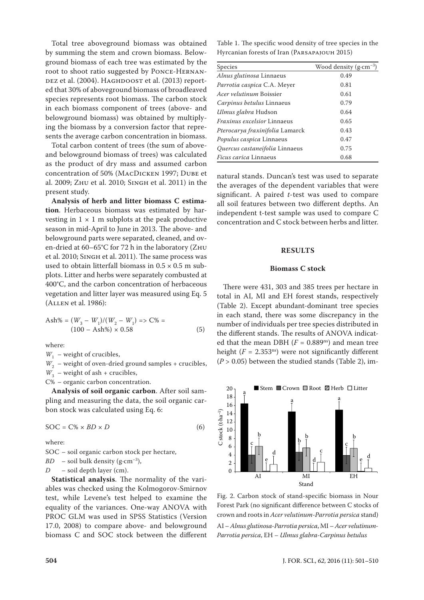Total tree aboveground biomass was obtained by summing the stem and crown biomass. Belowground biomass of each tree was estimated by the root to shoot ratio suggested by Ponce-Hernan-DEZ et al. (2004). HAGHDOOST et al. (2013) reported that 30% of aboveground biomass of broadleaved species represents root biomass. The carbon stock in each biomass component of trees (above- and belowground biomass) was obtained by multiplying the biomass by a conversion factor that represents the average carbon concentration in biomass.

Total carbon content of trees (the sum of aboveand belowground biomass of trees) was calculated as the product of dry mass and assumed carbon concentration of 50% (MacDicken 1997; Dube et al. 2009; Zhu et al. 2010; Singh et al. 2011) in the present study.

**Analysis of herb and litter biomass C estimation**. Herbaceous biomass was estimated by harvesting in  $1 \times 1$  m subplots at the peak productive season in mid-April to June in 2013. The above- and belowground parts were separated, cleaned, and oven-dried at 60–65°C for 72 h in the laboratory (Zhu et al. 2010; Singh et al. 2011). The same process was used to obtain litterfall biomass in  $0.5 \times 0.5$  m subplots. Litter and herbs were separately combusted at 400°C, and the carbon concentration of herbaceous vegetation and litter layer was measured using Eq. 5 (Allen et al. 1986):

$$
Ash\% = (W_3 - W_1)/(W_2 - W_1) \Rightarrow C\% =
$$
  
(100 - Ash\%) × 0.58 (5)

where:

 $W_1$  – weight of crucibles,

 $W<sub>2</sub>$  – weight of oven-dried ground samples + crucibles,

 $W_3$  – weight of ash + crucibles,

C% – organic carbon concentration.

**Analysis of soil organic carbon**. After soil sampling and measuring the data, the soil organic carbon stock was calculated using Eq. 6:

$$
SOC = C\% \times BD \times D \tag{6}
$$

where:

SOC – soil organic carbon stock per hectare,

 $BD$  – soil bulk density (g·cm<sup>-3</sup>),

*D* – soil depth layer (cm).

**Statistical analysis**. The normality of the variables was checked using the Kolmogorov-Smirnov test, while Levene's test helped to examine the equality of the variances. One-way ANOVA with PROC GLM was used in SPSS Statistics (Version 17.0, 2008) to compare above- and belowground biomass C and SOC stock between the different

Table 1. The specific wood density of tree species in the Hyrcanian forests of Iran (Parsapajouh 2015)

| <b>Species</b>                         | Wood density $(g \cdot cm^{-3})$ |
|----------------------------------------|----------------------------------|
| Alnus glutinosa Linnaeus               | 0.49                             |
| Parrotia caspica C.A. Meyer            | 0.81                             |
| <i>Acer velutinum</i> Boissier         | 0.61                             |
| Carpinus betulus Linnaeus              | 0.79                             |
| Ulmus glabra Hudson                    | 0.64                             |
| Fraxinus excelsior Linnaeus            | 0.65                             |
| <i>Pterocarya fraxinifolia</i> Lamarck | 0.43                             |
| <i>Populus caspica</i> Linnaeus        | 0.47                             |
| Quercus castaneifolia Linnaeus         | 0.75                             |
| <i>Ficus carica</i> Linnaeus           | 0.68                             |

natural stands. Duncan's test was used to separate the averages of the dependent variables that were significant. A paired *t*-test was used to compare all soil features between two different depths. An independent t-test sample was used to compare C concentration and C stock between herbs and litter.

# **RESULTS**

# **Biomass C stock**

There were 431, 303 and 385 trees per hectare in total in AI, MI and EH forest stands, respectively (Table 2). Except abundant-dominant tree species in each stand, there was some discrepancy in the number of individuals per tree species distributed in the different stands. The results of ANOVA indicated that the mean DBH  $(F = 0.889<sup>ns</sup>)$  and mean tree height ( $F = 2.353<sup>ns</sup>$ ) were not significantly different  $(P > 0.05)$  between the studied stands (Table 2), im-



Fig. 2. Carbon stock of stand-specific biomass in Nour Forest Park (no significant difference between C stocks of crown and roots in *Acer velutinum*-*Parrotia persica* stand) AI – *Alnus glutinosa*-*Parrotia persica*, MI – *Acer velutinum*-*Parrotia persica*, EH – *Ulmus glabra*-*Carpinus betulus*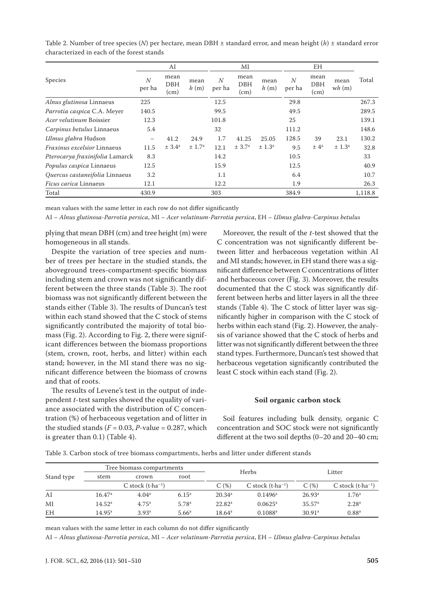|                                 | AI                       |                            | МI                 |                          | <b>EH</b>                  |                        |                          |                            |                    |         |
|---------------------------------|--------------------------|----------------------------|--------------------|--------------------------|----------------------------|------------------------|--------------------------|----------------------------|--------------------|---------|
| <b>Species</b>                  | $\overline{N}$<br>per ha | mean<br><b>DBH</b><br>(cm) | mean<br>h(m)       | $\overline{N}$<br>per ha | mean<br><b>DBH</b><br>(cm) | mean<br>h(m)           | $\overline{N}$<br>per ha | mean<br><b>DBH</b><br>(cm) | mean<br>wh(m)      | Total   |
| Alnus glutinosa Linnaeus        | 225                      |                            |                    | 12.5                     |                            |                        | 29.8                     |                            |                    | 267.3   |
| Parrotia caspica C.A. Meyer     | 140.5                    |                            |                    | 99.5                     |                            |                        | 49.5                     |                            |                    | 289.5   |
| <i>Acer velutinum</i> Boissier  | 12.3                     |                            |                    | 101.8                    |                            |                        | 25                       |                            |                    | 139.1   |
| Carpinus betulus Linnaeus       | 5.4                      |                            |                    | 32                       |                            |                        | 111.2                    |                            |                    | 148.6   |
| Ulmus glabra Hudson             | $\qquad \qquad -$        | 41.2                       | 24.9               | 1.7                      | 41.25                      | 25.05                  | 128.5                    | 39                         | 23.1               | 130.2   |
| Fraxinus excelsior Linnaeus     | 11.5                     | ± 3.4 <sup>a</sup>         | ± 1.7 <sup>a</sup> | 12.1                     | ± 3.7 <sup>a</sup>         | $\pm$ 1.3 <sup>a</sup> | 9.5                      | $\pm 4^a$                  | ± 1.3 <sup>a</sup> | 32.8    |
| Pterocarya fraxinifolia Lamarck | 8.3                      |                            |                    | 14.2                     |                            |                        | 10.5                     |                            |                    | 33      |
| Populus caspica Linnaeus        | 12.5                     |                            |                    | 15.9                     |                            |                        | 12.5                     |                            |                    | 40.9    |
| Quercus castaneifolia Linnaeus  | 3.2                      |                            |                    | 1.1                      |                            |                        | 6.4                      |                            |                    | 10.7    |
| <i>Ficus carica</i> Linnaeus    | 12.1                     |                            |                    | 12.2                     |                            |                        | 1.9                      |                            |                    | 26.3    |
| Total                           | 430.9                    |                            |                    | 303                      |                            |                        | 384.9                    |                            |                    | 1,118.8 |

Table 2. Number of tree species (*N*) per hectare, mean DBH ± standard error, and mean height (*h*) ± standard error characterized in each of the forest stands

mean values with the same letter in each row do not differ significantly

AI – *Alnus glutinosa*-*Parrotia persica*, MI – *Acer velutinum*-*Parrotia persica*, EH – *Ulmus glabra*-*Carpinus betulus*

plying that mean DBH (cm) and tree height (m) were homogeneous in all stands.

Despite the variation of tree species and number of trees per hectare in the studied stands, the aboveground trees-compartment-specific biomass including stem and crown was not significantly different between the three stands (Table 3). The root biomass was not significantly different between the stands either (Table 3). The results of Duncan's test within each stand showed that the C stock of stems significantly contributed the majority of total biomass (Fig. 2). According to Fig. 2, there were significant differences between the biomass proportions (stem, crown, root, herbs, and litter) within each stand; however, in the MI stand there was no significant difference between the biomass of crowns and that of roots.

The results of Levene's test in the output of independent *t*-test samples showed the equality of variance associated with the distribution of C concentration (%) of herbaceous vegetation and of litter in the studied stands  $(F = 0.03, P$ -value = 0.287, which is greater than 0.1) (Table 4).

Moreover, the result of the *t*-test showed that the C concentration was not significantly different between litter and herbaceous vegetation within AI and MI stands; however, in EH stand there was a significant difference between C concentrations of litter and herbaceous cover (Fig. 3). Moreover, the results documented that the C stock was significantly different between herbs and litter layers in all the three stands (Table 4). The C stock of litter layer was significantly higher in comparison with the C stock of herbs within each stand (Fig. 2). However, the analysis of variance showed that the C stock of herbs and litter was not significantly different between the three stand types. Furthermore, Duncan's test showed that herbaceous vegetation significantly contributed the least C stock within each stand (Fig. 2).

# **Soil organic carbon stock**

Soil features including bulk density, organic C concentration and SOC stock were not significantly different at the two soil depths (0–20 and 20–40 cm;

Table 3. Carbon stock of tree biomass compartments, herbs and litter under different stands

| Stand type | Tree biomass compartments   |                   |                   |                    | Herbs                            | Litter             |                             |  |
|------------|-----------------------------|-------------------|-------------------|--------------------|----------------------------------|--------------------|-----------------------------|--|
|            | stem                        | crown             | root              |                    |                                  |                    |                             |  |
|            | C stock $(t \cdot ha^{-1})$ |                   |                   | C(%)               | C stock $(t$ -ha <sup>-1</sup> ) | C(%)               | C stock $(t \cdot ha^{-1})$ |  |
| AI         | $16.47^{\rm a}$             | 4.04 <sup>a</sup> | $6.15^{a}$        | 20.34 <sup>a</sup> | $0.1496^{\rm a}$                 | 26.93 <sup>a</sup> | 1.76 <sup>a</sup>           |  |
| MI         | $14.52^{\rm a}$             | 4.75 <sup>a</sup> | 5.78 <sup>a</sup> | $22.82^{\rm a}$    | $0.0625$ <sup>a</sup>            | 35.57 <sup>a</sup> | 2.28 <sup>a</sup>           |  |
| EH         | $14.95^{\rm a}$             | 3.93 <sup>a</sup> | 5.66 <sup>a</sup> | $18.64^{\rm a}$    | $0.1088$ <sup>a</sup>            | 30.91 <sup>a</sup> | 0.88 <sup>a</sup>           |  |

mean values with the same letter in each column do not differ significantly

AI – *Alnus glutinosa*-*Parrotia persica*, MI – *Acer velutinum*-*Parrotia persica*, EH – *Ulmus glabra*-*Carpinus betulus*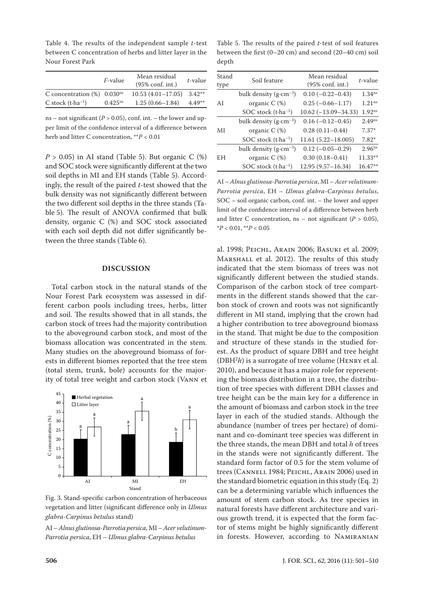Table 4. The results of the independent sample *t*-test between C concentration of herbs and litter layer in the Nour Forest Park

|                                            | <i>F</i> -value       | Mean residual<br>$(95\% \text{ conf. int.})$ | t-value  |
|--------------------------------------------|-----------------------|----------------------------------------------|----------|
| C concentration $(\%)$ 0.030 <sup>ns</sup> |                       | $10.53(4.01-17.05)$ 3.42**                   |          |
| C stock $(t \cdot ha^{-1})$                | $0.425$ <sup>ns</sup> | $1.25(0.66 - 1.84)$                          | $4.49**$ |

ns – not significant ( $P > 0.05$ ), conf. int. – the lower and upper limit of the confidence interval of a difference between herb and litter C concentration, \*\**P* < 0.01

 $P > 0.05$ ) in AI stand (Table 5). But organic C  $(\%)$ and SOC stock were significantly different at the two soil depths in MI and EH stands (Table 5). Accordingly, the result of the paired *t*-test showed that the bulk density was not significantly different between the two different soil depths in the three stands (Table 5). The result of ANOVA confirmed that bulk density, organic C (%) and SOC stock associated with each soil depth did not differ significantly between the three stands (Table 6).

# **DISCUSSION**

Total carbon stock in the natural stands of the Nour Forest Park ecosystem was assessed in different carbon pools including trees, herbs, litter and soil. The results showed that in all stands, the carbon stock of trees had the majority contribution to the aboveground carbon stock, and most of the biomass allocation was concentrated in the stem. Many studies on the aboveground biomass of forests in different biomes reported that the tree stem (total stem, trunk, bole) accounts for the majority of total tree weight and carbon stock (Vann et



Fig. 3. Stand-specific carbon concentration of herbaceous vegetation and litter (significant difference only in *Ulmus glabra*-*Carpinus betulus* stand)

AI – *Alnus glutinosa*-*Parrotia persica*, MI – *Acer velutinum*-*Parrotia persica*, EH – *Ulmus glabra*-*Carpinus betulus*

Table 5. The results of the paired *t*-test of soil features between the first (0–20 cm) and second (20–40 cm) soil depth

| Stand<br>type | Soil feature                               | Mean residual<br>$(95\% \text{ conf. int.})$ | t-value              |
|---------------|--------------------------------------------|----------------------------------------------|----------------------|
|               | bulk density (g $\cdot$ cm <sup>-3</sup> ) | $0.10 (-0.22 - 0.43)$                        | 1.34 <sup>ns</sup>   |
| AI            | organic $C(\%)$                            | $0.25(-0.66-1.17)$                           | 1.21 <sup>ns</sup>   |
|               | SOC stock $(t$ -ha <sup>-1</sup> )         | $10.62 (-13.09 - 34.33)$                     | $1.92$ <sup>ns</sup> |
| МI            | bulk density $(g \cdot cm^{-3})$           | $0.16 (-0.12 - 0.45)$                        | $2.49^{ns}$          |
|               | organic $C$ (%)                            | $0.28(0.11 - 0.44)$                          | $7.37*$              |
|               | SOC stock $(t$ -ha <sup>-1</sup> )         | $11.61(5.22 - 18.005)$                       | $7.82*$              |
| EH            | bulk density $(g \cdot cm^{-3})$           | $0.12 (-0.05 - 0.29)$                        | $2.96^{ns}$          |
|               | organic $C$ (%)                            | $0.30(0.18 - 0.41)$                          | $11.33**$            |
|               | SOC stock $(t$ -ha <sup>-1</sup> )         | $12.95(9.57 - 16.34)$                        | 16.47**              |

AI – *Alnus glutinosa*-*Parrotia persica*, MI – *Acer velutinum*-*Parrotia persica*, EH – *Ulmus glabra*-*Carpinus betulus*, SOC – soil organic carbon, conf. int. – the lower and upper limit of the confidence interval of a difference between herb and litter C concentration, ns – not significant ( $P > 0.05$ ), \**P* < 0.01, \*\**P* < 0.05

al. 1998; Peichl, Arain 2006; Basuki et al. 2009; Marshall et al. 2012). The results of this study indicated that the stem biomass of trees was not significantly different between the studied stands. Comparison of the carbon stock of tree compartments in the different stands showed that the carbon stock of crown and roots was not significantly different in MI stand, implying that the crown had a higher contribution to tree aboveground biomass in the stand. That might be due to the composition and structure of these stands in the studied forest. As the product of square DBH and tree height  $(DBH<sup>2</sup>h)$  is a surrogate of tree volume (HENRY et al. 2010), and because it has a major role for representing the biomass distribution in a tree, the distribution of tree species with different DBH classes and tree height can be the main key for a difference in the amount of biomass and carbon stock in the tree layer in each of the studied stands. Although the abundance (number of trees per hectare) of dominant and co-dominant tree species was different in the three stands, the mean DBH and total *h* of trees in the stands were not significantly different. The standard form factor of 0.5 for the stem volume of trees (Cannell 1984; Peichl, Arain 2006) used in the standard biometric equation in this study (Eq. 2) can be a determining variable which influences the amount of stem carbon stock. As tree species in natural forests have different architecture and various growth trend, it is expected that the form factor of stems might be highly significantly different in forests. However, according to Namiranian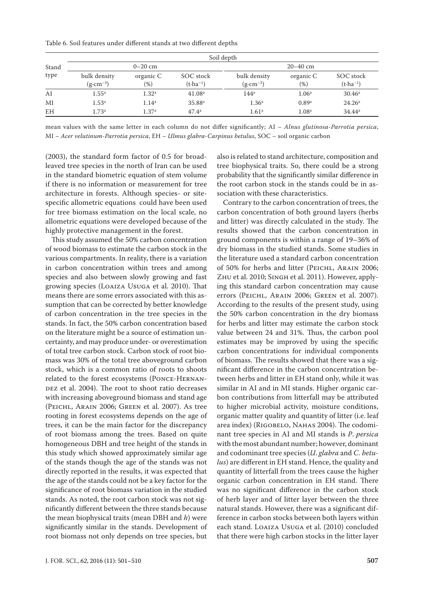Table 6. Soil features under different stands at two different depths

|           |                                     | Soil depth        |                                  |                                     |                     |                                       |  |  |  |
|-----------|-------------------------------------|-------------------|----------------------------------|-------------------------------------|---------------------|---------------------------------------|--|--|--|
| Stand     |                                     | $0 - 20$ cm       |                                  | $20 - 40$ cm                        |                     |                                       |  |  |  |
| type      | bulk density<br>$(g \cdot cm^{-3})$ | organic C<br>(% ) | SOC stock<br>$(t \cdot ha^{-1})$ | bulk density<br>$(g \cdot cm^{-3})$ | organic C<br>$(\%)$ | SOC stock<br>$(t$ ·ha <sup>-1</sup> ) |  |  |  |
| AI        | $1.55^{\rm a}$                      | 1.32 <sup>a</sup> | 41.08 <sup>a</sup>               | $144^a$                             | 1.06 <sup>a</sup>   | 30.46 <sup>a</sup>                    |  |  |  |
| MI        | 1.53 <sup>a</sup>                   | 1.14 <sup>a</sup> | 35.88 <sup>a</sup>               | 1.36 <sup>a</sup>                   | 0.89a               | 24.26 <sup>a</sup>                    |  |  |  |
| <b>EH</b> | 1.73a                               | 1.37 <sup>a</sup> | 47.4 <sup>a</sup>                | 1.61 <sup>a</sup>                   | 1.08 <sup>a</sup>   | $34.44^a$                             |  |  |  |

mean values with the same letter in each column do not differ significantly; AI – *Alnus glutinosa*-*Parrotia persica*, MI – *Acer velutinum*-*Parrotia persica*, EH – *Ulmus glabra*-*Carpinus betulus*, SOC – soil organic carbon

(2003), the standard form factor of 0.5 for broadleaved tree species in the north of Iran can be used in the standard biometric equation of stem volume if there is no information or measurement for tree architecture in forests. Although species- or sitespecific allometric equations could have been used for tree biomass estimation on the local scale, no allometric equations were developed because of the highly protective management in the forest.

This study assumed the 50% carbon concentration of wood biomass to estimate the carbon stock in the various compartments. In reality, there is a variation in carbon concentration within trees and among species and also between slowly growing and fast growing species (Loaiza Usuga et al. 2010). That means there are some errors associated with this assumption that can be corrected by better knowledge of carbon concentration in the tree species in the stands. In fact, the 50% carbon concentration based on the literature might be a source of estimation uncertainty, and may produce under- or overestimation of total tree carbon stock. Carbon stock of root biomass was 30% of the total tree aboveground carbon stock, which is a common ratio of roots to shoots related to the forest ecosystems (Ponce-Hernan-DEZ et al. 2004). The root to shoot ratio decreases with increasing aboveground biomass and stand age (Peichl, Arain 2006; Green et al. 2007). As tree rooting in forest ecosystems depends on the age of trees, it can be the main factor for the discrepancy of root biomass among the trees. Based on quite homogeneous DBH and tree height of the stands in this study which showed approximately similar age of the stands though the age of the stands was not directly reported in the results, it was expected that the age of the stands could not be a key factor for the significance of root biomass variation in the studied stands. As noted, the root carbon stock was not significantly different between the three stands because the mean biophysical traits (mean DBH and *h*) were significantly similar in the stands. Development of root biomass not only depends on tree species, but

also is related to stand architecture, composition and tree biophysical traits. So, there could be a strong probability that the significantly similar difference in the root carbon stock in the stands could be in association with these characteristics.

Contrary to the carbon concentration of trees, the carbon concentration of both ground layers (herbs and litter) was directly calculated in the study. The results showed that the carbon concentration in ground components is within a range of 19–36% of dry biomass in the studied stands. Some studies in the literature used a standard carbon concentration of 50% for herbs and litter (Peichl, Arain 2006; Zhu et al. 2010; Singh et al. 2011). However, applying this standard carbon concentration may cause errors (Peichl, Arain 2006; Green et al. 2007). According to the results of the present study, using the 50% carbon concentration in the dry biomass for herbs and litter may estimate the carbon stock value between 24 and 31%. Thus, the carbon pool estimates may be improved by using the specific carbon concentrations for individual components of biomass. The results showed that there was a significant difference in the carbon concentration between herbs and litter in EH stand only, while it was similar in AI and in MI stands. Higher organic carbon contributions from litterfall may be attributed to higher microbial activity, moisture conditions, organic matter quality and quantity of litter (i.e. leaf area index) (RIGOBELO, NAHAS 2004). The codominant tree species in AI and MI stands is *P*. *persica* with the most abundant number; however, dominant and codominant tree species (*U*. *glabra* and *C*. *betulus*) are different in EH stand. Hence, the quality and quantity of litterfall from the trees cause the higher organic carbon concentration in EH stand. There was no significant difference in the carbon stock of herb layer and of litter layer between the three natural stands. However, there was a significant difference in carbon stocks between both layers within each stand. Loaiza Usuga et al. (2010) concluded that there were high carbon stocks in the litter layer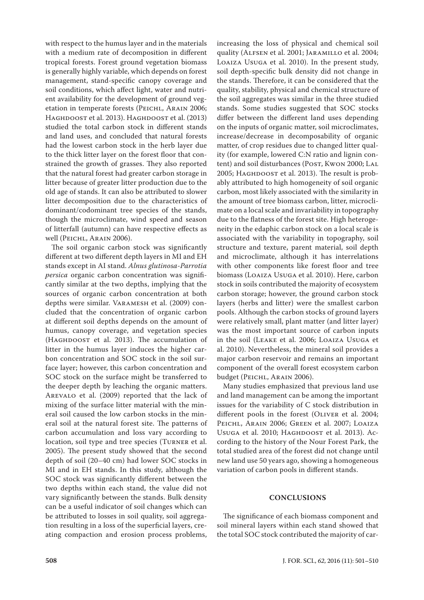with respect to the humus layer and in the materials with a medium rate of decomposition in different tropical forests. Forest ground vegetation biomass is generally highly variable, which depends on forest management, stand-specific canopy coverage and soil conditions, which affect light, water and nutrient availability for the development of ground vegetation in temperate forests (PEICHL, ARAIN 2006; HAGHDOOST et al. 2013). HAGHDOOST et al. (2013) studied the total carbon stock in different stands and land uses, and concluded that natural forests had the lowest carbon stock in the herb layer due to the thick litter layer on the forest floor that constrained the growth of grasses. They also reported that the natural forest had greater carbon storage in litter because of greater litter production due to the old age of stands. It can also be attributed to slower litter decomposition due to the characteristics of dominant/codominant tree species of the stands, though the microclimate, wind speed and season of litterfall (autumn) can have respective effects as well (PEICHL, ARAIN 2006).

The soil organic carbon stock was significantly different at two different depth layers in MI and EH stands except in AI stand. *Alnus glutinosa*-*Parrotia persica* organic carbon concentration was significantly similar at the two depths, implying that the sources of organic carbon concentration at both depths were similar. Varamesh et al. (2009) concluded that the concentration of organic carbon at different soil depths depends on the amount of humus, canopy coverage, and vegetation species (HAGHDOOST et al. 2013). The accumulation of litter in the humus layer induces the higher carbon concentration and SOC stock in the soil surface layer; however, this carbon concentration and SOC stock on the surface might be transferred to the deeper depth by leaching the organic matters. Arevalo et al. (2009) reported that the lack of mixing of the surface litter material with the mineral soil caused the low carbon stocks in the mineral soil at the natural forest site. The patterns of carbon accumulation and loss vary according to location, soil type and tree species (Turner et al. 2005). The present study showed that the second depth of soil (20–40 cm) had lower SOC stocks in MI and in EH stands. In this study, although the SOC stock was significantly different between the two depths within each stand, the value did not vary significantly between the stands. Bulk density can be a useful indicator of soil changes which can be attributed to losses in soil quality, soil aggregation resulting in a loss of the superficial layers, creating compaction and erosion process problems, increasing the loss of physical and chemical soil quality (Alfsen et al. 2001; Jaramillo et al. 2004; Loaiza Usuga et al. 2010). In the present study, soil depth-specific bulk density did not change in the stands. Therefore, it can be considered that the quality, stability, physical and chemical structure of the soil aggregates was similar in the three studied stands. Some studies suggested that SOC stocks differ between the different land uses depending on the inputs of organic matter, soil microclimates, increase/decrease in decomposability of organic matter, of crop residues due to changed litter quality (for example, lowered C:N ratio and lignin content) and soil disturbances (POST, KwON 2000; LAL 2005; Наснроозт et al. 2013). The result is probably attributed to high homogeneity of soil organic carbon, most likely associated with the similarity in the amount of tree biomass carbon, litter, microclimate on a local scale and invariability in topography due to the flatness of the forest site. High heterogeneity in the edaphic carbon stock on a local scale is associated with the variability in topography, soil structure and texture, parent material, soil depth and microclimate, although it has interrelations with other components like forest floor and tree biomass (Loaiza Usuga et al. 2010). Here, carbon stock in soils contributed the majority of ecosystem carbon storage; however, the ground carbon stock layers (herbs and litter) were the smallest carbon pools. Although the carbon stocks of ground layers were relatively small, plant matter (and litter layer) was the most important source of carbon inputs in the soil (Leake et al. 2006; Loaiza Usuga et al. 2010). Nevertheless, the mineral soil provides a major carbon reservoir and remains an important component of the overall forest ecosystem carbon budget (PEICHL, ARAIN 2006).

Many studies emphasized that previous land use and land management can be among the important issues for the variability of C stock distribution in different pools in the forest (OLIVER et al. 2004; PEICHL, ARAIN 2006; GREEN et al. 2007; LOAIZA Usuga et al. 2010; Haghdoost et al. 2013). According to the history of the Nour Forest Park, the total studied area of the forest did not change until new land use 50 years ago, showing a homogeneous variation of carbon pools in different stands.

# **CONCLUSIONS**

The significance of each biomass component and soil mineral layers within each stand showed that the total SOC stock contributed the majority of car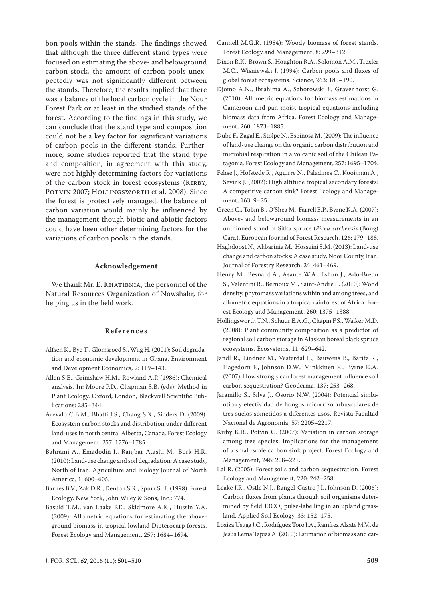bon pools within the stands. The findings showed that although the three different stand types were focused on estimating the above- and belowground carbon stock, the amount of carbon pools unexpectedly was not significantly different between the stands. Therefore, the results implied that there was a balance of the local carbon cycle in the Nour Forest Park or at least in the studied stands of the forest. According to the findings in this study, we can conclude that the stand type and composition could not be a key factor for significant variations of carbon pools in the different stands. Furthermore, some studies reported that the stand type and composition, in agreement with this study, were not highly determining factors for variations of the carbon stock in forest ecosystems (KIRBY, POTVIN 2007; HOLLINGSWORTH et al. 2008). Since the forest is protectively managed, the balance of carbon variation would mainly be influenced by the management though biotic and abiotic factors could have been other determining factors for the variations of carbon pools in the stands.

# **Acknowledgement**

We thank Mr. E. KHATIBNIA, the personnel of the Natural Resources Organization of Nowshahr, for helping us in the field work.

# **References**

- Alfsen K., Bye T., Glomsroed S., Wiig H. (2001): Soil degradation and economic development in Ghana. Environment and Development Economics, 2: 119–143.
- Allen S.E., Grimshaw H.M., Rowland A.P. (1986): Chemical analysis. In: Moore P.D., Chapman S.B. (eds): Method in Plant Ecology. Oxford, London, Blackwell Scientific Publications: 285–344.
- Arevalo C.B.M., Bhatti J.S., Chang S.X., Sidders D. (2009): Ecosystem carbon stocks and distribution under different land-uses in north central Alberta, Canada. Forest Ecology and Management, 257: 1776–1785.
- Bahrami A., Emadodin I., Ranjbar Atashi M., Bork H.R. (2010): Land-use change and soil degradation: A case study, North of Iran. Agriculture and Biology Journal of North America, 1: 600–605.
- Barnes B.V., Zak D.R., Denton S.R., Spurr S.H. (1998): Forest Ecology. New York, John Wiley & Sons, Inc.: 774.
- Basuki T.M., van Laake P.E., Skidmore A.K., Hussin Y.A. (2009): Allometric equations for estimating the aboveground biomass in tropical lowland Dipterocarp forests. Forest Ecology and Management, 257: 1684–1694.
- Cannell M.G.R. (1984): Woody biomass of forest stands. Forest Ecology and Management, 8: 299–312.
- Dixon R.K., Brown S., Houghton R.A., Solomon A.M., Trexler M.C., Wisniewski J. (1994): Carbon pools and fluxes of global forest ecosystems. Science, 263: 185–190.
- Djomo A.N., Ibrahima A., Saborowski J., Gravenhorst G. (2010): Allometric equations for biomass estimations in Cameroon and pan moist tropical equations including biomass data from Africa. Forest Ecology and Management, 260: 1873–1885.
- Dube F., Zagal E., Stolpe N., Espinosa M. (2009): The influence of land-use change on the organic carbon distribution and microbial respiration in a volcanic soil of the Chilean Patagonia. Forest Ecology and Management, 257: 1695–1704.
- Fehse J., Hofstede R., Aguirre N., Paladines C., Kooijman A., Sevink J. (2002): High altitude tropical secondary forests: A competitive carbon sink? Forest Ecology and Management, 163: 9–25.
- Green C., Tobin B., O'Shea M., Farrell E.P., Byrne K.A. (2007): Above- and belowground biomass measurements in an unthinned stand of Sitka spruce (*Picea sitchensis* (Bong) Carr.). European Journal of Forest Research, 126: 179–188.
- Haghdoost N., Akbarinia M., Hosseini S.M. (2013): Land-use change and carbon stocks: A case study, Noor County, Iran. Journal of Forestry Research, 24: 461–469.
- Henry M., Besnard A., Asante W.A., Eshun J., Adu-Bredu S., Valentini R., Bernoux M., Saint-André L. (2010): Wood density, phytomass variations within and among trees, and allometric equations in a tropical rainforest of Africa. Forest Ecology and Management, 260: 1375–1388.
- Hollingsworth T.N., Schuur E.A.G., Chapin F.S., Walker M.D. (2008): Plant community composition as a predictor of regional soil carbon storage in Alaskan boreal black spruce ecosystems. Ecosystems, 11: 629–642.
- Jandl R., Lindner M., Vesterdal L., Bauwens B., Baritz R., Hagedorn F., Johnson D.W., Minkkinen K., Byrne K.A. (2007): How strongly can forest management influence soil carbon sequestration? Geoderma, 137: 253–268.
- Jaramillo S., Silva J., Osorio N.W. (2004): Potencial simbiotico y efectividad de hongos micorrizo arbusculares de tres suelos sometidos a diferentes usos. Revista Facultad Nacional de Agronomía, 57: 2205–2217.
- Kirby K.R., Potvin C. (2007): Variation in carbon storage among tree species: Implications for the management of a small-scale carbon sink project. Forest Ecology and Management, 246: 208–221.
- Lal R. (2005): Forest soils and carbon sequestration. Forest Ecology and Management, 220: 242–258.
- Leake J.R., Ostle N.J., Rangel-Castro J.I., Johnson D. (2006): Carbon fluxes from plants through soil organisms determined by field  $13 \text{CO}_2$  pulse-labelling in an upland grassland. Applied Soil Ecology, 33: 152–175.
- Loaiza Usuga J.C., Rodríguez Toro J.A., Ramírez Alzate M.V., de Jesús Lema Tapias A. (2010): Estimation of biomass and car-